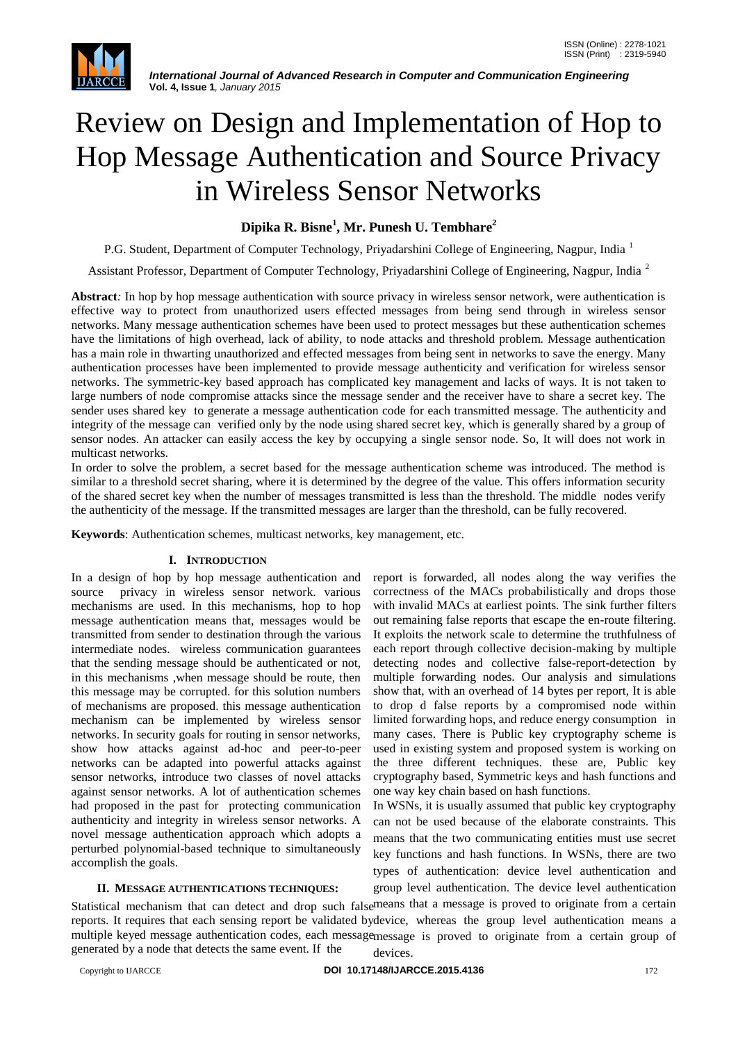

# Review on Design and Implementation of Hop to Hop Message Authentication and Source Privacy in Wireless Sensor Networks

# **Dipika R. Bisne<sup>1</sup> , Mr. Punesh U. Tembhare<sup>2</sup>**

P.G. Student, Department of Computer Technology, Priyadarshini College of Engineering, Nagpur, India <sup>1</sup>

Assistant Professor, Department of Computer Technology, Priyadarshini College of Engineering, Nagpur, India <sup>2</sup>

**Abstract***:* In hop by hop message authentication with source privacy in wireless sensor network, were authentication is effective way to protect from unauthorized users effected messages from being send through in wireless sensor networks. Many message authentication schemes have been used to protect messages but these authentication schemes have the limitations of high overhead, lack of ability, to node attacks and threshold problem. Message authentication has a main role in thwarting unauthorized and effected messages from being sent in networks to save the energy. Many authentication processes have been implemented to provide message authenticity and verification for wireless sensor networks. The symmetric-key based approach has complicated key management and lacks of ways. It is not taken to large numbers of node compromise attacks since the message sender and the receiver have to share a secret key. The sender uses shared key to generate a message authentication code for each transmitted message. The authenticity and integrity of the message can verified only by the node using shared secret key, which is generally shared by a group of sensor nodes. An attacker can easily access the key by occupying a single sensor node. So, It will does not work in multicast networks.

In order to solve the problem, a secret based for the message authentication scheme was introduced. The method is similar to a threshold secret sharing, where it is determined by the degree of the value. This offers information security of the shared secret key when the number of messages transmitted is less than the threshold. The middle nodes verify the authenticity of the message. If the transmitted messages are larger than the threshold, can be fully recovered.

**Keywords**: Authentication schemes, multicast networks, key management, etc.

### **I. INTRODUCTION**

In a design of hop by hop message authentication and source privacy in wireless sensor network. various mechanisms are used. In this mechanisms, hop to hop message authentication means that, messages would be transmitted from sender to destination through the various intermediate nodes. wireless communication guarantees that the sending message should be authenticated or not, in this mechanisms ,when message should be route, then this message may be corrupted. for this solution numbers of mechanisms are proposed. this message authentication mechanism can be implemented by wireless sensor networks. In security goals for routing in sensor networks, show how attacks against ad-hoc and peer-to-peer networks can be adapted into powerful attacks against sensor networks, introduce two classes of novel attacks against sensor networks. A lot of authentication schemes had proposed in the past for protecting communication authenticity and integrity in wireless sensor networks. A novel message authentication approach which adopts a perturbed polynomial-based technique to simultaneously accomplish the goals.

report is forwarded, all nodes along the way verifies the correctness of the MACs probabilistically and drops those with invalid MACs at earliest points. The sink further filters out remaining false reports that escape the en-route filtering. It exploits the network scale to determine the truthfulness of each report through collective decision-making by multiple detecting nodes and collective false-report-detection by multiple forwarding nodes. Our analysis and simulations show that, with an overhead of 14 bytes per report, It is able to drop d false reports by a compromised node within limited forwarding hops, and reduce energy consumption in many cases. There is Public key cryptography scheme is used in existing system and proposed system is working on the three different techniques. these are, Public key cryptography based, Symmetric keys and hash functions and one way key chain based on hash functions.

In WSNs, it is usually assumed that public key cryptography can not be used because of the elaborate constraints. This means that the two communicating entities must use secret key functions and hash functions. In WSNs, there are two types of authentication: device level authentication and group level authentication. The device level authentication

## **II. MESSAGE AUTHENTICATIONS TECHNIQUES:**

Statistical mechanism that can detect and drop such false means that a message is proved to originate from a certain reports. It requires that each sensing report be validated by device, whereas the group level authentication means a multiple keyed message authentication codes, each messagemessage is proved to originate from a certain group of generated by a node that detects the same event. If the devices.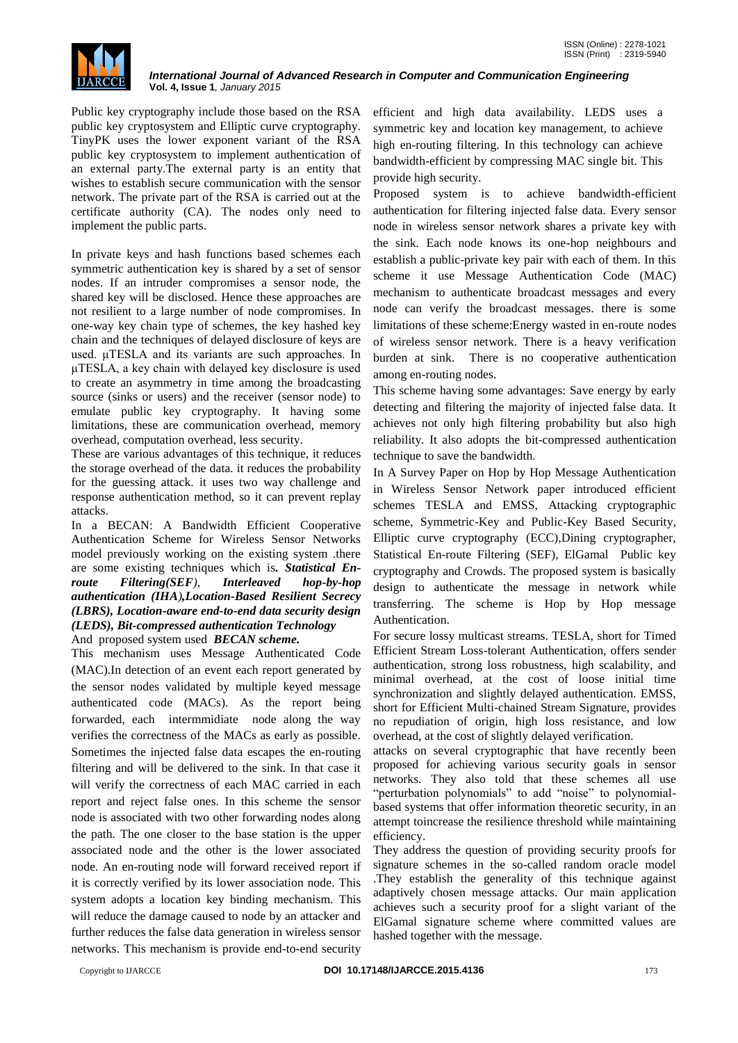

Public key cryptography include those based on the RSA public key cryptosystem and Elliptic curve cryptography. TinyPK uses the lower exponent variant of the RSA public key cryptosystem to implement authentication of an external party.The external party is an entity that wishes to establish secure communication with the sensor network. The private part of the RSA is carried out at the certificate authority (CA). The nodes only need to implement the public parts.

In private keys and hash functions based schemes each symmetric authentication key is shared by a set of sensor nodes. If an intruder compromises a sensor node, the shared key will be disclosed. Hence these approaches are not resilient to a large number of node compromises. In one-way key chain type of schemes, the key hashed key chain and the techniques of delayed disclosure of keys are used. μTESLA and its variants are such approaches. In μTESLA, a key chain with delayed key disclosure is used to create an asymmetry in time among the broadcasting source (sinks or users) and the receiver (sensor node) to emulate public key cryptography. It having some limitations, these are communication overhead, memory overhead, computation overhead, less security.

These are various advantages of this technique, it reduces the storage overhead of the data. it reduces the probability for the guessing attack. it uses two way challenge and response authentication method, so it can prevent replay attacks.

In a BECAN: A Bandwidth Efficient Cooperative Authentication Scheme for Wireless Sensor Networks model previously working on the existing system .there are some existing techniques which is*. Statistical Enroute Filtering(SEF), Interleaved hop-by-hop authentication (IHA),Location-Based Resilient Secrecy (LBRS), Location-aware end-to-end data security design (LEDS), Bit-compressed authentication Technology* And proposed system used *BECAN scheme.*

This mechanism uses Message Authenticated Code (MAC).In detection of an event each report generated by the sensor nodes validated by multiple keyed message authenticated code (MACs). As the report being forwarded, each intermmidiate node along the way verifies the correctness of the MACs as early as possible. Sometimes the injected false data escapes the en-routing filtering and will be delivered to the sink. In that case it will verify the correctness of each MAC carried in each report and reject false ones. In this scheme the sensor node is associated with two other forwarding nodes along the path. The one closer to the base station is the upper associated node and the other is the lower associated node. An en-routing node will forward received report if it is correctly verified by its lower association node. This system adopts a location key binding mechanism. This will reduce the damage caused to node by an attacker and further reduces the false data generation in wireless sensor networks. This mechanism is provide end-to-end security

efficient and high data availability. LEDS uses a symmetric key and location key management, to achieve high en-routing filtering. In this technology can achieve bandwidth-efficient by compressing MAC single bit. This provide high security.

Proposed system is to achieve bandwidth-efficient authentication for filtering injected false data. Every sensor node in wireless sensor network shares a private key with the sink. Each node knows its one-hop neighbours and establish a public-private key pair with each of them. In this scheme it use Message Authentication Code (MAC) mechanism to authenticate broadcast messages and every node can verify the broadcast messages. there is some limitations of these scheme:Energy wasted in en-route nodes of wireless sensor network. There is a heavy verification burden at sink. There is no cooperative authentication among en-routing nodes.

This scheme having some advantages: Save energy by early detecting and filtering the majority of injected false data. It achieves not only high filtering probability but also high reliability. It also adopts the bit-compressed authentication technique to save the bandwidth.

In A Survey Paper on Hop by Hop Message Authentication in Wireless Sensor Network paper introduced efficient schemes TESLA and EMSS, Attacking cryptographic scheme, Symmetric-Key and Public-Key Based Security, Elliptic curve cryptography (ECC),Dining cryptographer, Statistical En-route Filtering (SEF), ElGamal Public key cryptography and Crowds. The proposed system is basically design to authenticate the message in network while transferring. The scheme is Hop by Hop message Authentication.

For secure lossy multicast streams. TESLA, short for Timed Efficient Stream Loss-tolerant Authentication, offers sender authentication, strong loss robustness, high scalability, and minimal overhead, at the cost of loose initial time synchronization and slightly delayed authentication. EMSS, short for Efficient Multi-chained Stream Signature, provides no repudiation of origin, high loss resistance, and low overhead, at the cost of slightly delayed verification.

attacks on several cryptographic that have recently been proposed for achieving various security goals in sensor networks. They also told that these schemes all use "perturbation polynomials" to add "noise" to polynomialbased systems that offer information theoretic security, in an attempt toincrease the resilience threshold while maintaining efficiency.

They address the question of providing security proofs for signature schemes in the so-called random oracle model .They establish the generality of this technique against adaptively chosen message attacks. Our main application achieves such a security proof for a slight variant of the ElGamal signature scheme where committed values are hashed together with the message.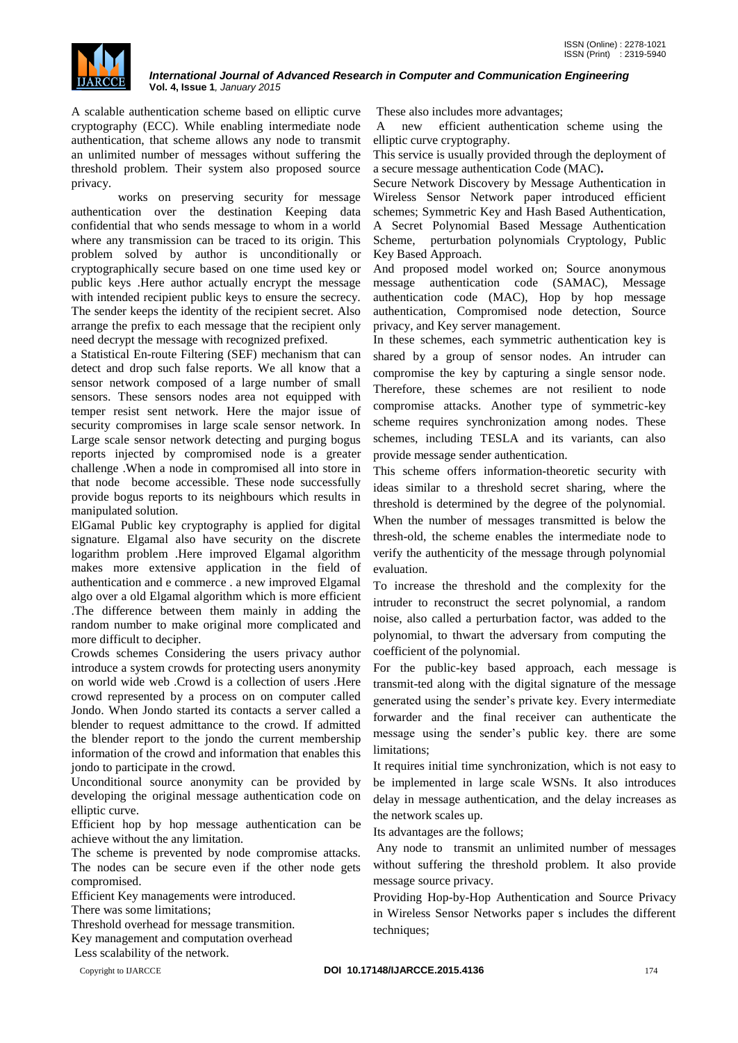

A scalable authentication scheme based on elliptic curve cryptography (ECC). While enabling intermediate node authentication, that scheme allows any node to transmit an unlimited number of messages without suffering the threshold problem. Their system also proposed source privacy.

 works on preserving security for message authentication over the destination Keeping data confidential that who sends message to whom in a world where any transmission can be traced to its origin. This problem solved by author is unconditionally or cryptographically secure based on one time used key or public keys .Here author actually encrypt the message with intended recipient public keys to ensure the secrecy. The sender keeps the identity of the recipient secret. Also arrange the prefix to each message that the recipient only need decrypt the message with recognized prefixed.

a Statistical En-route Filtering (SEF) mechanism that can detect and drop such false reports. We all know that a sensor network composed of a large number of small sensors. These sensors nodes area not equipped with temper resist sent network. Here the major issue of security compromises in large scale sensor network. In Large scale sensor network detecting and purging bogus reports injected by compromised node is a greater challenge .When a node in compromised all into store in that node become accessible. These node successfully provide bogus reports to its neighbours which results in manipulated solution.

ElGamal Public key cryptography is applied for digital signature. Elgamal also have security on the discrete logarithm problem .Here improved Elgamal algorithm makes more extensive application in the field of authentication and e commerce . a new improved Elgamal algo over a old Elgamal algorithm which is more efficient .The difference between them mainly in adding the random number to make original more complicated and more difficult to decipher.

Crowds schemes Considering the users privacy author introduce a system crowds for protecting users anonymity on world wide web .Crowd is a collection of users .Here crowd represented by a process on on computer called Jondo. When Jondo started its contacts a server called a blender to request admittance to the crowd. If admitted the blender report to the jondo the current membership information of the crowd and information that enables this jondo to participate in the crowd.

Unconditional source anonymity can be provided by developing the original message authentication code on elliptic curve.

Efficient hop by hop message authentication can be achieve without the any limitation.

The scheme is prevented by node compromise attacks. The nodes can be secure even if the other node gets compromised.

Efficient Key managements were introduced.

There was some limitations;

Threshold overhead for message transmition.

Key management and computation overhead

Less scalability of the network.

These also includes more advantages;

A new efficient authentication scheme using the elliptic curve cryptography.

This service is usually provided through the deployment of a secure message authentication Code (MAC)**.**

Secure Network Discovery by Message Authentication in Wireless Sensor Network paper introduced efficient schemes; Symmetric Key and Hash Based Authentication, A Secret Polynomial Based Message Authentication Scheme, perturbation polynomials Cryptology, Public Key Based Approach.

And proposed model worked on; Source anonymous message authentication code (SAMAC), Message authentication code (MAC), Hop by hop message authentication, Compromised node detection, Source privacy, and Key server management.

In these schemes, each symmetric authentication key is shared by a group of sensor nodes. An intruder can compromise the key by capturing a single sensor node. Therefore, these schemes are not resilient to node compromise attacks. Another type of symmetric-key scheme requires synchronization among nodes. These schemes, including TESLA and its variants, can also provide message sender authentication.

This scheme offers information-theoretic security with ideas similar to a threshold secret sharing, where the threshold is determined by the degree of the polynomial. When the number of messages transmitted is below the thresh-old, the scheme enables the intermediate node to verify the authenticity of the message through polynomial evaluation.

To increase the threshold and the complexity for the intruder to reconstruct the secret polynomial, a random noise, also called a perturbation factor, was added to the polynomial, to thwart the adversary from computing the coefficient of the polynomial.

For the public-key based approach, each message is transmit-ted along with the digital signature of the message generated using the sender"s private key. Every intermediate forwarder and the final receiver can authenticate the message using the sender"s public key. there are some limitations;

It requires initial time synchronization, which is not easy to be implemented in large scale WSNs. It also introduces delay in message authentication, and the delay increases as the network scales up.

Its advantages are the follows;

Any node to transmit an unlimited number of messages without suffering the threshold problem. It also provide message source privacy.

Providing Hop-by-Hop Authentication and Source Privacy in Wireless Sensor Networks paper s includes the different techniques;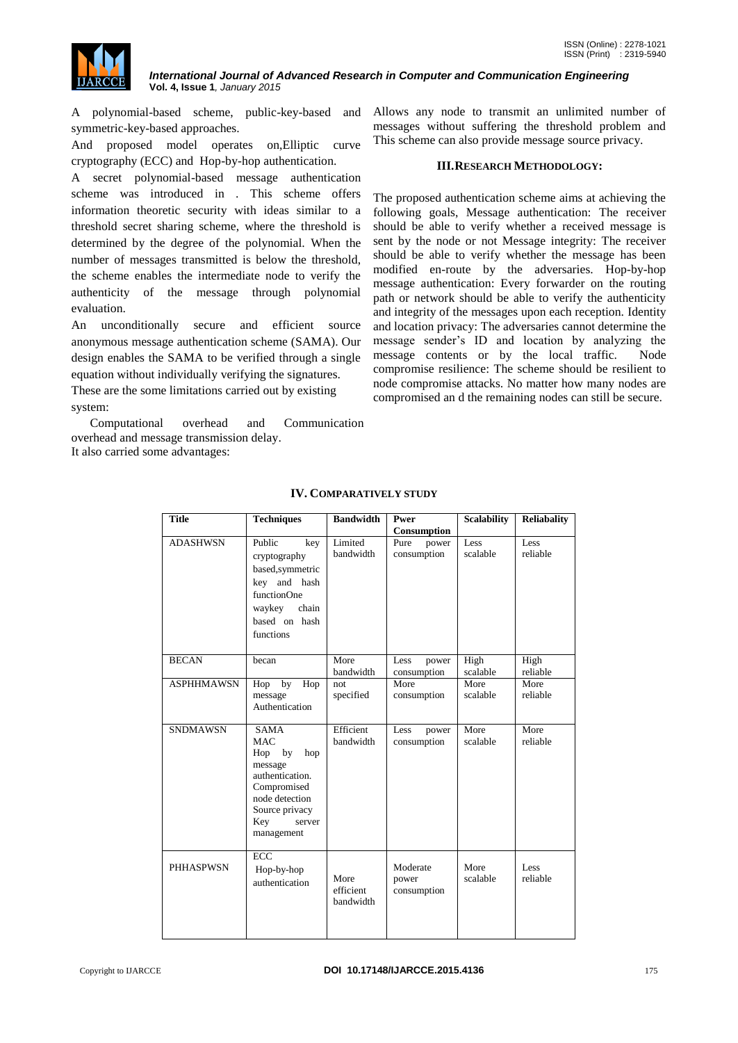

A polynomial-based scheme, public-key-based and symmetric-key-based approaches.

And proposed model operates on,Elliptic curve cryptography (ECC) and Hop-by-hop authentication.

A secret polynomial-based message authentication scheme was introduced in . This scheme offers information theoretic security with ideas similar to a threshold secret sharing scheme, where the threshold is determined by the degree of the polynomial. When the number of messages transmitted is below the threshold, the scheme enables the intermediate node to verify the authenticity of the message through polynomial evaluation.

An unconditionally secure and efficient source anonymous message authentication scheme (SAMA). Our design enables the SAMA to be verified through a single equation without individually verifying the signatures.

These are the some limitations carried out by existing system:

 Computational overhead and Communication overhead and message transmission delay. It also carried some advantages:

Allows any node to transmit an unlimited number of messages without suffering the threshold problem and This scheme can also provide message source privacy.

#### **III.RESEARCH METHODOLOGY:**

The proposed authentication scheme aims at achieving the following goals, Message authentication: The receiver should be able to verify whether a received message is sent by the node or not Message integrity: The receiver should be able to verify whether the message has been modified en-route by the adversaries. Hop-by-hop message authentication: Every forwarder on the routing path or network should be able to verify the authenticity and integrity of the messages upon each reception. Identity and location privacy: The adversaries cannot determine the message sender"s ID and location by analyzing the message contents or by the local traffic. Node compromise resilience: The scheme should be resilient to node compromise attacks. No matter how many nodes are compromised an d the remaining nodes can still be secure.

| <b>Title</b>      | <b>Techniques</b>                                                                                                                                             | <b>Bandwidth</b>               | Pwer                             | <b>Scalability</b> | <b>Reliabality</b> |
|-------------------|---------------------------------------------------------------------------------------------------------------------------------------------------------------|--------------------------------|----------------------------------|--------------------|--------------------|
|                   |                                                                                                                                                               |                                | Consumption                      |                    |                    |
| <b>ADASHWSN</b>   | Public<br>key<br>cryptography<br>based, symmetric<br>key and hash<br>functionOne<br>waykey<br>chain<br>based on hash<br>functions                             | Limited<br>bandwidth           | Pure<br>power<br>consumption     | Less<br>scalable   | Less<br>reliable   |
| <b>BECAN</b>      | becan                                                                                                                                                         | More<br>bandwidth              | Less<br>power<br>consumption     | High<br>scalable   | High<br>reliable   |
| <b>ASPHHMAWSN</b> | Hop<br>by<br>Hop<br>message<br>Authentication                                                                                                                 | not<br>specified               | More<br>consumption              | More<br>scalable   | More<br>reliable   |
| <b>SNDMAWSN</b>   | <b>SAMA</b><br><b>MAC</b><br>Hop<br>by<br>hop<br>message<br>authentication.<br>Compromised<br>node detection<br>Source privacy<br>Key<br>server<br>management | Efficient<br>bandwidth         | Less<br>power<br>consumption     | More<br>scalable   | More<br>reliable   |
| <b>PHHASPWSN</b>  | <b>ECC</b><br>Hop-by-hop<br>authentication                                                                                                                    | More<br>efficient<br>bandwidth | Moderate<br>power<br>consumption | More<br>scalable   | Less<br>reliable   |

# **IV. COMPARATIVELY STUDY**